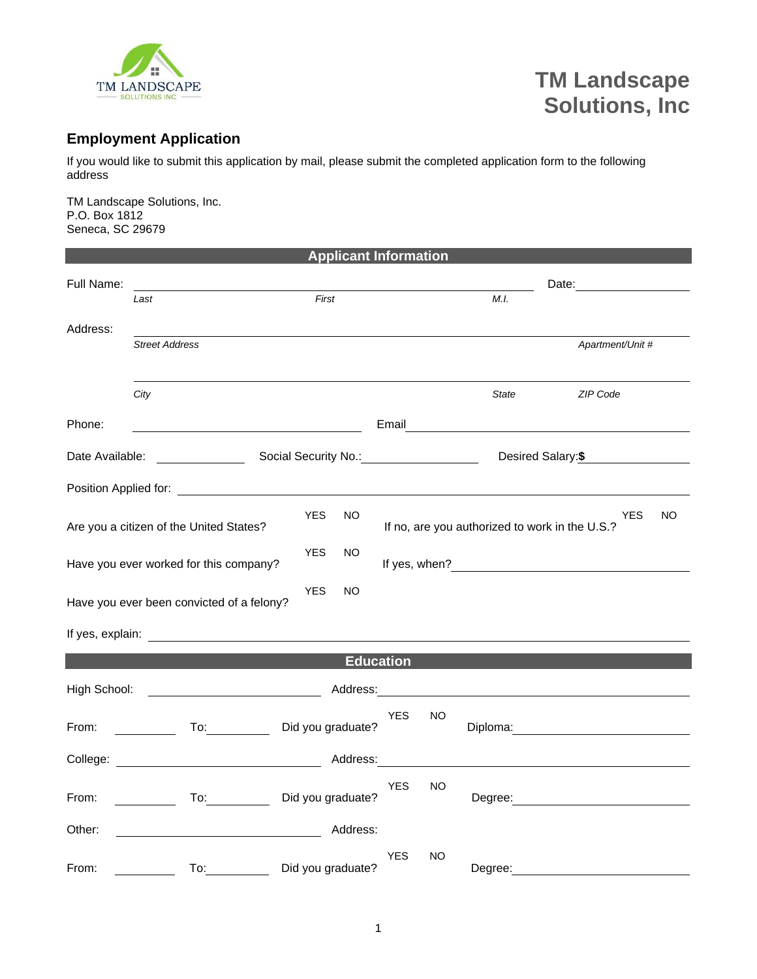

## **TM Landscape Solutions, Inc**

## **Employment Application**

If you would like to submit this application by mail, please submit the completed application form to the following address

TM Landscape Solutions, Inc. P.O. Box 1812 Seneca, SC 29679

|                 |                                                                                                                                                                                                                                | <b>Applicant Information</b>                                                                                                                                                                                                   |            |     |              |                                                                                                                                                                                                                                |    |
|-----------------|--------------------------------------------------------------------------------------------------------------------------------------------------------------------------------------------------------------------------------|--------------------------------------------------------------------------------------------------------------------------------------------------------------------------------------------------------------------------------|------------|-----|--------------|--------------------------------------------------------------------------------------------------------------------------------------------------------------------------------------------------------------------------------|----|
| Full Name:      |                                                                                                                                                                                                                                |                                                                                                                                                                                                                                |            |     |              | Date: the contract of the contract of the contract of the contract of the contract of the contract of the contract of the contract of the contract of the contract of the contract of the contract of the contract of the cont |    |
|                 | Last                                                                                                                                                                                                                           | First                                                                                                                                                                                                                          |            |     | M.I.         |                                                                                                                                                                                                                                |    |
| Address:        | <b>Street Address</b>                                                                                                                                                                                                          |                                                                                                                                                                                                                                |            |     |              | Apartment/Unit #                                                                                                                                                                                                               |    |
|                 |                                                                                                                                                                                                                                |                                                                                                                                                                                                                                |            |     |              |                                                                                                                                                                                                                                |    |
|                 | City                                                                                                                                                                                                                           |                                                                                                                                                                                                                                |            |     | <b>State</b> | <b>ZIP Code</b>                                                                                                                                                                                                                |    |
| Phone:          |                                                                                                                                                                                                                                |                                                                                                                                                                                                                                |            |     |              |                                                                                                                                                                                                                                |    |
| Date Available: |                                                                                                                                                                                                                                | Social Security No.: 1997                                                                                                                                                                                                      |            |     |              | Desired Salary: \$                                                                                                                                                                                                             |    |
|                 | Position Applied for: The Contract of the Contract of the Contract of the Contract of the Contract of the Contract of the Contract of the Contract of the Contract of the Contract of the Contract of the Contract of the Cont |                                                                                                                                                                                                                                |            |     |              |                                                                                                                                                                                                                                |    |
|                 | Are you a citizen of the United States?                                                                                                                                                                                        | <b>YES</b><br>NO                                                                                                                                                                                                               |            |     |              | YES<br>If no, are you authorized to work in the U.S.?                                                                                                                                                                          | NO |
|                 | Have you ever worked for this company?                                                                                                                                                                                         | <b>YES</b><br>NO                                                                                                                                                                                                               |            |     |              |                                                                                                                                                                                                                                |    |
|                 | Have you ever been convicted of a felony?                                                                                                                                                                                      | <b>YES</b><br>NO                                                                                                                                                                                                               |            |     |              |                                                                                                                                                                                                                                |    |
|                 |                                                                                                                                                                                                                                |                                                                                                                                                                                                                                |            |     |              |                                                                                                                                                                                                                                |    |
|                 |                                                                                                                                                                                                                                | <b>Education</b>                                                                                                                                                                                                               |            |     |              |                                                                                                                                                                                                                                |    |
| High School:    |                                                                                                                                                                                                                                | Address: Andreas and the set of the set of the set of the set of the set of the set of the set of the set of the set of the set of the set of the set of the set of the set of the set of the set of the set of the set of the |            |     |              |                                                                                                                                                                                                                                |    |
| From:           | To: $\qquad \qquad$                                                                                                                                                                                                            | Did you graduate?                                                                                                                                                                                                              | <b>YES</b> | NO  |              | Diploma: <u>____________________</u>                                                                                                                                                                                           |    |
|                 |                                                                                                                                                                                                                                |                                                                                                                                                                                                                                |            |     |              |                                                                                                                                                                                                                                |    |
| From:           | $\overline{a}$<br>$\mathcal{L} = \mathcal{L}$                                                                                                                                                                                  | Did you graduate?                                                                                                                                                                                                              | <b>YES</b> | NO. |              | Degree: the contract of the contract of the contract of the contract of the contract of the contract of the contract of the contract of the contract of the contract of the contract of the contract of the contract of the co |    |
| Other:          |                                                                                                                                                                                                                                | Address:                                                                                                                                                                                                                       |            |     |              |                                                                                                                                                                                                                                |    |
| From:           | To:                                                                                                                                                                                                                            | Did you graduate?                                                                                                                                                                                                              | <b>YES</b> | NO  | Degree:      |                                                                                                                                                                                                                                |    |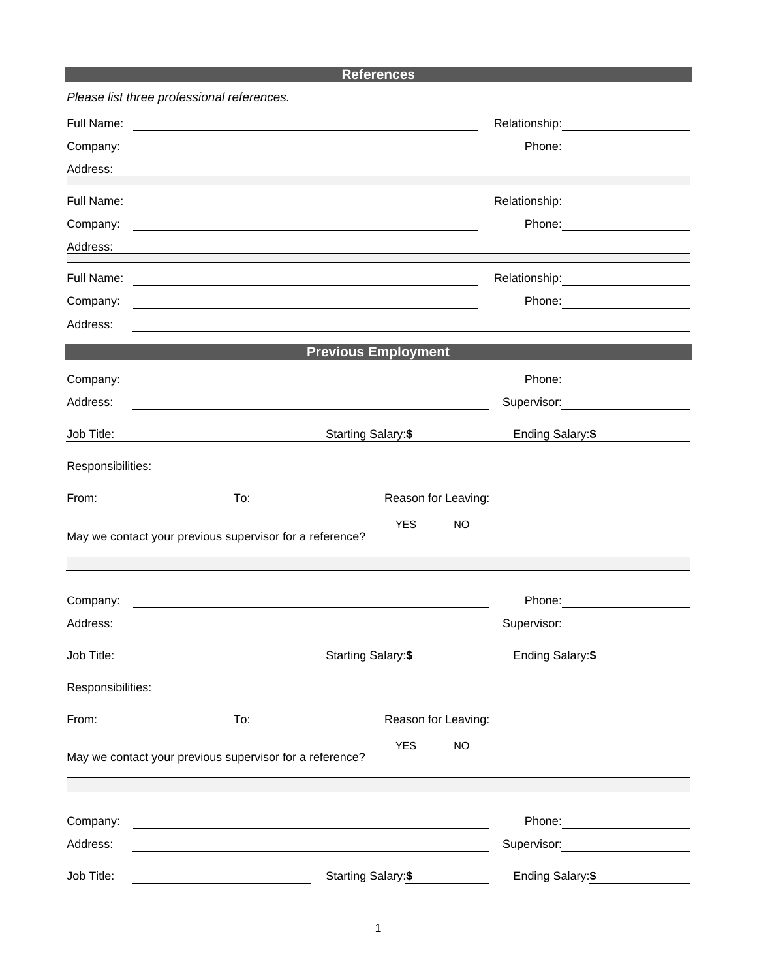## **References**

|            | Please list three professional references.                                                                                                                                                                                     |                                                                                                                  |
|------------|--------------------------------------------------------------------------------------------------------------------------------------------------------------------------------------------------------------------------------|------------------------------------------------------------------------------------------------------------------|
| Full Name: | <u> 1989 - Johann Harry Harry Harry Harry Harry Harry Harry Harry Harry Harry Harry Harry Harry Harry Harry Harry</u>                                                                                                          | Relationship:<br><u>________________________________</u>                                                         |
| Company:   |                                                                                                                                                                                                                                |                                                                                                                  |
| Address:   |                                                                                                                                                                                                                                |                                                                                                                  |
| Full Name: |                                                                                                                                                                                                                                |                                                                                                                  |
| Company:   |                                                                                                                                                                                                                                |                                                                                                                  |
| Address:   |                                                                                                                                                                                                                                |                                                                                                                  |
| Full Name: | <u> 1989 - Johann Barbara, martin amerikan basar dan berasal dalam basa dalam basar dalam basar dalam basar dala</u>                                                                                                           |                                                                                                                  |
| Company:   |                                                                                                                                                                                                                                |                                                                                                                  |
| Address:   |                                                                                                                                                                                                                                |                                                                                                                  |
|            | <b>Previous Employment</b>                                                                                                                                                                                                     |                                                                                                                  |
| Company:   |                                                                                                                                                                                                                                |                                                                                                                  |
| Address:   |                                                                                                                                                                                                                                | Supervisor: 2000                                                                                                 |
| Job Title: | Starting Salary: \$<br><u> 1989 - Johann Barn, fransk politik (</u>                                                                                                                                                            | Ending Salary: \$                                                                                                |
|            | Responsibilities: Later and the contract of the contract of the contract of the contract of the contract of the contract of the contract of the contract of the contract of the contract of the contract of the contract of th |                                                                                                                  |
| From:      | <u>and the state of the state</u>                                                                                                                                                                                              | Reason for Leaving:<br><u> Reason</u> for Leaving:                                                               |
|            | <b>YES</b><br>NO                                                                                                                                                                                                               |                                                                                                                  |
|            | May we contact your previous supervisor for a reference?                                                                                                                                                                       |                                                                                                                  |
|            |                                                                                                                                                                                                                                |                                                                                                                  |
| Company:   | <u> 1989 - Johann Stoff, deutscher Stoffen und der Stoffen und der Stoffen und der Stoffen und der Stoffen und der</u>                                                                                                         |                                                                                                                  |
| Address:   |                                                                                                                                                                                                                                | Supervisor: 2000                                                                                                 |
| Job Title: | Starting Salary:\$                                                                                                                                                                                                             | Ending Salary:\$                                                                                                 |
|            |                                                                                                                                                                                                                                |                                                                                                                  |
| From:      | $To: \begin{tabular}{ c c c } \hline \quad \quad & \quad \quad & \quad \quad \\ \hline \end{tabular}$                                                                                                                          | Reason for Leaving: Management Control of Reason for Leaving:                                                    |
|            | <b>YES</b><br><b>NO</b>                                                                                                                                                                                                        |                                                                                                                  |
|            | May we contact your previous supervisor for a reference?                                                                                                                                                                       | ,我们也不会有什么。""我们的人,我们也不会有什么?""我们的人,我们也不会有什么?""我们的人,我们也不会有什么?""我们的人,我们也不会有什么?""我们的人                                 |
|            |                                                                                                                                                                                                                                |                                                                                                                  |
| Company:   | and the control of the control of the control of the control of the control of the control of the control of the                                                                                                               |                                                                                                                  |
| Address:   | <u> 1989 - Johann Stoff, deutscher Stoffen und der Stoffen und der Stoffen und der Stoffen und der Stoffen und der</u>                                                                                                         | Supervisor: Victor Control of Control Control Control Control Control Control Control Control Control Control Co |
| Job Title: | Starting Salary:\$                                                                                                                                                                                                             | Ending Salary: \$                                                                                                |